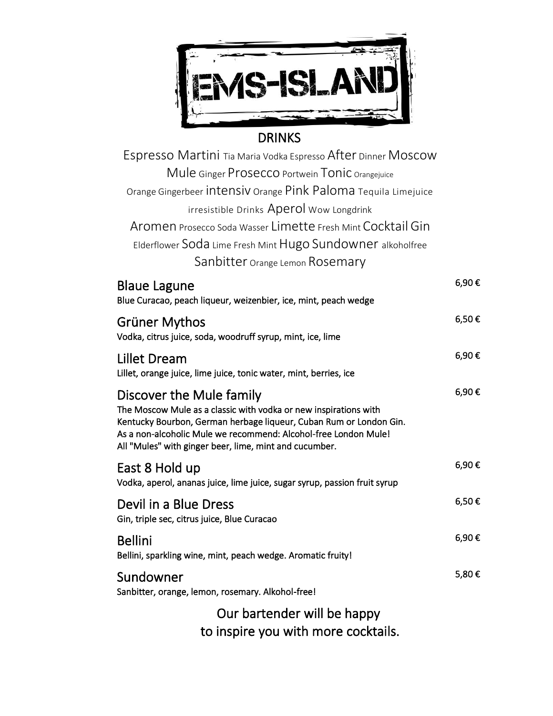

## DRINKS

| Espresso Martini Tia Maria Vodka Espresso After Dinner MOSCOW   |       |
|-----------------------------------------------------------------|-------|
| Mule Ginger Prosecco Portwein Tonic Orangejuice                 |       |
| Orange Gingerbeer Intensiv Orange Pink Paloma Tequila Limejuice |       |
| irresistible Drinks Aperol Wow Longdrink                        |       |
| Aromen Prosecco Soda Wasser Limette Fresh Mint Cocktail Gin     |       |
| Elderflower Soda Lime Fresh Mint Hugo Sundowner alkoholfree     |       |
| Sanbitter Orange Lemon Rosemary                                 |       |
| <b>Blaue Lagune</b>                                             | 6.90€ |

| PIANO PANAIIO<br>Blue Curacao, peach liqueur, weizenbier, ice, mint, peach wedge                                                                                                                                                                                                                |       |
|-------------------------------------------------------------------------------------------------------------------------------------------------------------------------------------------------------------------------------------------------------------------------------------------------|-------|
| Grüner Mythos<br>Vodka, citrus juice, soda, woodruff syrup, mint, ice, lime                                                                                                                                                                                                                     | 6,50€ |
| Lillet Dream<br>Lillet, orange juice, lime juice, tonic water, mint, berries, ice                                                                                                                                                                                                               | 6,90€ |
| Discover the Mule family<br>The Moscow Mule as a classic with vodka or new inspirations with<br>Kentucky Bourbon, German herbage liqueur, Cuban Rum or London Gin.<br>As a non-alcoholic Mule we recommend: Alcohol-free London Mule!<br>All "Mules" with ginger beer, lime, mint and cucumber. | 6,90€ |
| East 8 Hold up<br>Vodka, aperol, ananas juice, lime juice, sugar syrup, passion fruit syrup                                                                                                                                                                                                     | 6,90€ |
| Devil in a Blue Dress<br>Gin, triple sec, citrus juice, Blue Curacao                                                                                                                                                                                                                            | 6,50€ |
| <b>Bellini</b><br>Bellini, sparkling wine, mint, peach wedge. Aromatic fruity!                                                                                                                                                                                                                  | 6,90€ |
| Sundowner<br>Sanbitter, orange, lemon, rosemary. Alkohol-free!                                                                                                                                                                                                                                  | 5,80€ |
| Our bartender will be happy                                                                                                                                                                                                                                                                     |       |
|                                                                                                                                                                                                                                                                                                 |       |

to inspire you with more cocktails.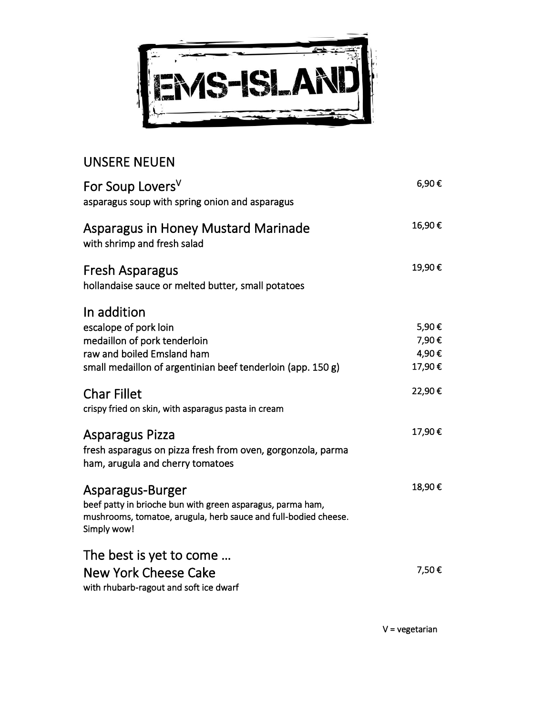

## UNSERE NEUEN

| For Soup Lovers <sup>V</sup><br>asparagus soup with spring onion and asparagus                                                                                   | 6,90€  |
|------------------------------------------------------------------------------------------------------------------------------------------------------------------|--------|
| Asparagus in Honey Mustard Marinade<br>with shrimp and fresh salad                                                                                               | 16,90€ |
| Fresh Asparagus<br>hollandaise sauce or melted butter, small potatoes                                                                                            | 19,90€ |
| In addition                                                                                                                                                      |        |
| escalope of pork loin                                                                                                                                            | 5,90€  |
| medaillon of pork tenderloin                                                                                                                                     | 7,90€  |
| raw and boiled Emsland ham                                                                                                                                       | 4,90€  |
| small medaillon of argentinian beef tenderloin (app. 150 g)                                                                                                      | 17,90€ |
| <b>Char Fillet</b><br>crispy fried on skin, with asparagus pasta in cream                                                                                        | 22,90€ |
| Asparagus Pizza<br>fresh asparagus on pizza fresh from oven, gorgonzola, parma<br>ham, arugula and cherry tomatoes                                               | 17,90€ |
| Asparagus-Burger<br>beef patty in brioche bun with green asparagus, parma ham,<br>mushrooms, tomatoe, arugula, herb sauce and full-bodied cheese.<br>Simply wow! | 18,90€ |
| The best is yet to come<br>New York Cheese Cake<br>with rhubarb-ragout and soft ice dwarf                                                                        | 7,50€  |

V = vegetarian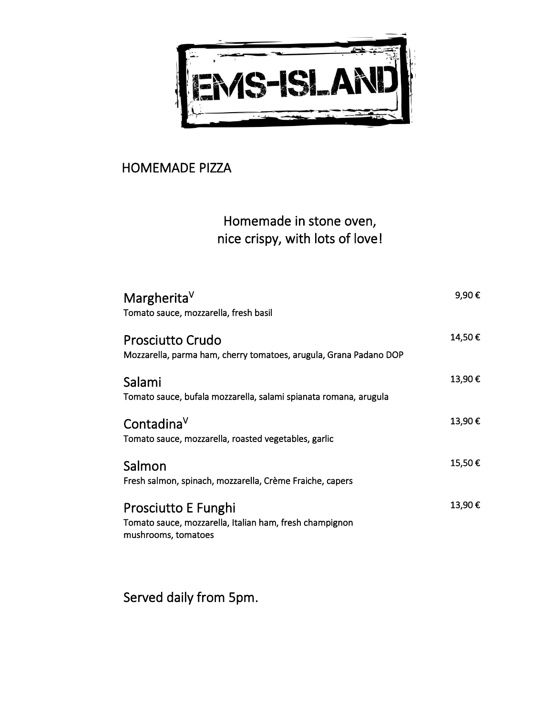

## HOMEMADE PIZZA

## Homemade in stone oven, nice crispy, with lots of love!

| Margherita <sup>V</sup><br>Tomato sauce, mozzarella, fresh basil                                      | 9,90€  |
|-------------------------------------------------------------------------------------------------------|--------|
| <b>Prosciutto Crudo</b><br>Mozzarella, parma ham, cherry tomatoes, arugula, Grana Padano DOP          | 14,50€ |
| Salami<br>Tomato sauce, bufala mozzarella, salami spianata romana, arugula                            | 13,90€ |
| Contadina $V$<br>Tomato sauce, mozzarella, roasted vegetables, garlic                                 | 13,90€ |
| Salmon<br>Fresh salmon, spinach, mozzarella, Crème Fraiche, capers                                    | 15,50€ |
| Prosciutto E Funghi<br>Tomato sauce, mozzarella, Italian ham, fresh champignon<br>mushrooms, tomatoes | 13,90€ |

Served daily from 5pm.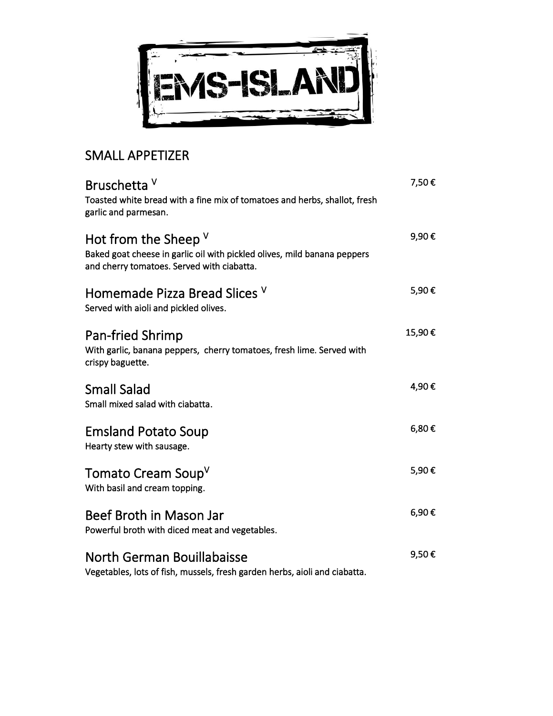

## SMALL APPETIZER

| Bruschetta V<br>Toasted white bread with a fine mix of tomatoes and herbs, shallot, fresh<br>garlic and parmesan.                                | 7,50€  |
|--------------------------------------------------------------------------------------------------------------------------------------------------|--------|
| Hot from the Sheep $V$<br>Baked goat cheese in garlic oil with pickled olives, mild banana peppers<br>and cherry tomatoes. Served with ciabatta. | 9,90€  |
| Homemade Pizza Bread Slices V<br>Served with aioli and pickled olives.                                                                           | 5,90€  |
| Pan-fried Shrimp<br>With garlic, banana peppers, cherry tomatoes, fresh lime. Served with<br>crispy baguette.                                    | 15,90€ |
| <b>Small Salad</b><br>Small mixed salad with ciabatta.                                                                                           | 4,90€  |
| <b>Emsland Potato Soup</b><br>Hearty stew with sausage.                                                                                          | 6,80€  |
| Tomato Cream Soup <sup>V</sup><br>With basil and cream topping.                                                                                  | 5,90€  |
| Beef Broth in Mason Jar<br>Powerful broth with diced meat and vegetables.                                                                        | 6,90€  |
| North German Bouillabaisse<br>Vegetables, lots of fish, mussels, fresh garden herbs, aioli and ciabatta.                                         | 9,50€  |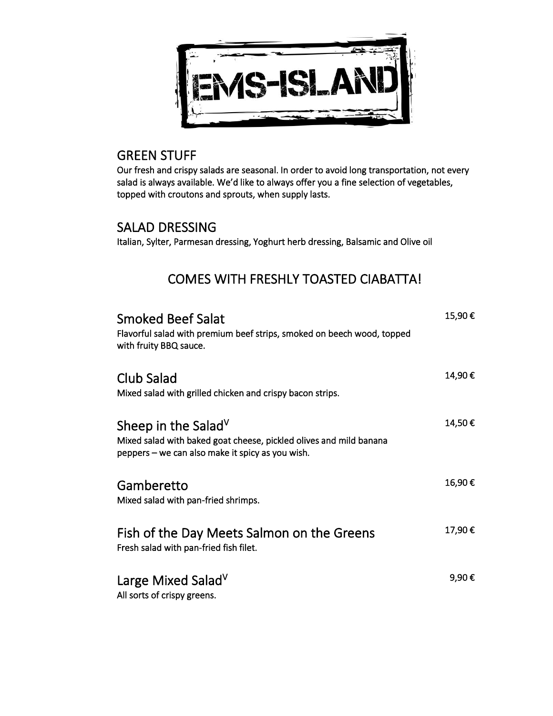

#### GREEN STUFF

Our fresh and crispy salads are seasonal. In order to avoid long transportation, not every salad is always available. We'd like to always offer you a fine selection of vegetables, topped with croutons and sprouts, when supply lasts.

#### SALAD DRESSING

Italian, Sylter, Parmesan dressing, Yoghurt herb dressing, Balsamic and Olive oil

## COMES WITH FRESHLY TOASTED CIABATTA!

| Smoked Beef Salat<br>Flavorful salad with premium beef strips, smoked on beech wood, topped<br>with fruity BBQ sauce.                                     | 15,90€ |
|-----------------------------------------------------------------------------------------------------------------------------------------------------------|--------|
| Club Salad<br>Mixed salad with grilled chicken and crispy bacon strips.                                                                                   | 14,90€ |
| Sheep in the Salad <sup>V</sup><br>Mixed salad with baked goat cheese, pickled olives and mild banana<br>peppers – we can also make it spicy as you wish. | 14,50€ |
| Gamberetto<br>Mixed salad with pan-fried shrimps.                                                                                                         | 16,90€ |
| Fish of the Day Meets Salmon on the Greens<br>Fresh salad with pan-fried fish filet.                                                                      | 17,90€ |
| Large Mixed Salad <sup>V</sup><br>All sorts of crispy greens.                                                                                             | 9,90€  |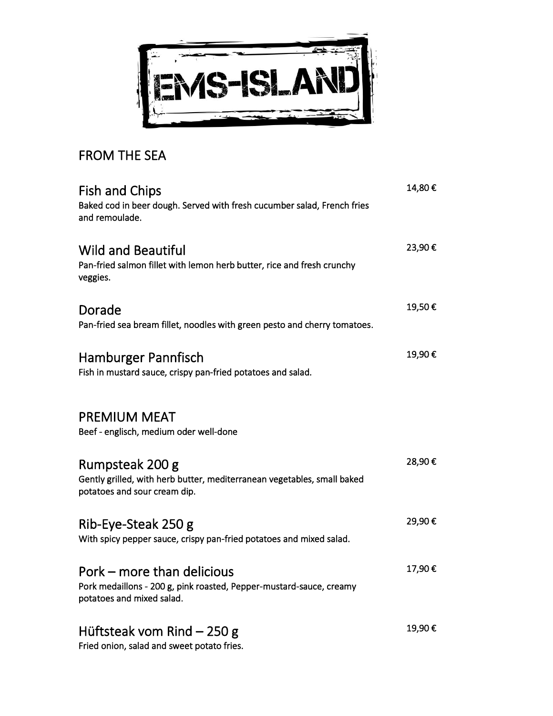

## FROM THE SEA

| <b>Fish and Chips</b><br>Baked cod in beer dough. Served with fresh cucumber salad, French fries<br>and remoulade.             | 14,80€ |
|--------------------------------------------------------------------------------------------------------------------------------|--------|
| <b>Wild and Beautiful</b><br>Pan-fried salmon fillet with lemon herb butter, rice and fresh crunchy<br>veggies.                | 23,90€ |
| Dorade<br>Pan-fried sea bream fillet, noodles with green pesto and cherry tomatoes.                                            | 19,50€ |
| Hamburger Pannfisch<br>Fish in mustard sauce, crispy pan-fried potatoes and salad.                                             | 19,90€ |
| <b>PREMIUM MEAT</b><br>Beef - englisch, medium oder well-done                                                                  |        |
| Rumpsteak 200 g<br>Gently grilled, with herb butter, mediterranean vegetables, small baked<br>potatoes and sour cream dip.     | 28,90€ |
| Rib-Eye-Steak 250 g<br>With spicy pepper sauce, crispy pan-fried potatoes and mixed salad.                                     | 29,90€ |
| Pork – more than delicious<br>Pork medaillons - 200 g, pink roasted, Pepper-mustard-sauce, creamy<br>potatoes and mixed salad. | 17,90€ |
| Hüftsteak vom Rind $-250$ g<br>Fried onion, salad and sweet potato fries.                                                      | 19,90€ |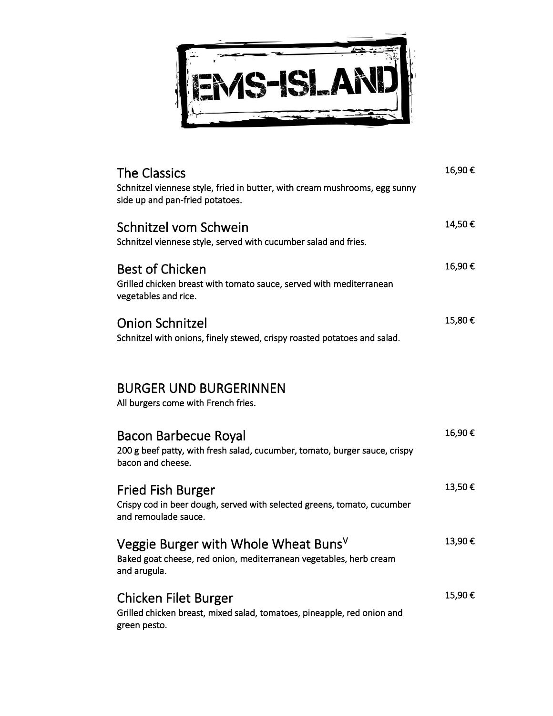

| <b>The Classics</b><br>Schnitzel viennese style, fried in butter, with cream mushrooms, egg sunny<br>side up and pan-fried potatoes.   | 16,90€ |
|----------------------------------------------------------------------------------------------------------------------------------------|--------|
| Schnitzel vom Schwein<br>Schnitzel viennese style, served with cucumber salad and fries.                                               | 14,50€ |
| <b>Best of Chicken</b><br>Grilled chicken breast with tomato sauce, served with mediterranean<br>vegetables and rice.                  | 16,90€ |
| <b>Onion Schnitzel</b><br>Schnitzel with onions, finely stewed, crispy roasted potatoes and salad.                                     | 15,80€ |
| <b>BURGER UND BURGERINNEN</b><br>All burgers come with French fries.                                                                   |        |
| Bacon Barbecue Royal<br>200 g beef patty, with fresh salad, cucumber, tomato, burger sauce, crispy<br>bacon and cheese.                | 16,90€ |
| <b>Fried Fish Burger</b><br>Crispy cod in beer dough, served with selected greens, tomato, cucumber<br>and remoulade sauce.            | 13,50€ |
| Veggie Burger with Whole Wheat Buns <sup>V</sup><br>Baked goat cheese, red onion, mediterranean vegetables, herb cream<br>and arugula. | 13,90€ |
| <b>Chicken Filet Burger</b><br>Grilled chicken breast, mixed salad, tomatoes, pineapple, red onion and<br>green pesto.                 | 15,90€ |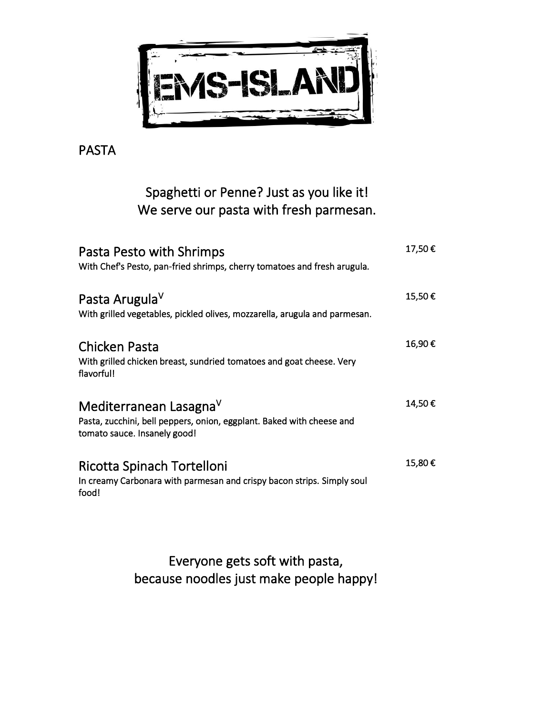

PASTA

## Spaghetti or Penne? Just as you like it! We serve our pasta with fresh parmesan.

| Pasta Pesto with Shrimps<br>With Chef's Pesto, pan-fried shrimps, cherry tomatoes and fresh arugula.                            | 17,50€ |
|---------------------------------------------------------------------------------------------------------------------------------|--------|
| Pasta Arugula <sup>V</sup><br>With grilled vegetables, pickled olives, mozzarella, arugula and parmesan.                        | 15,50€ |
| Chicken Pasta<br>With grilled chicken breast, sundried tomatoes and goat cheese. Very<br>flavorful!                             | 16,90€ |
| Mediterranean LasagnaV<br>Pasta, zucchini, bell peppers, onion, eggplant. Baked with cheese and<br>tomato sauce. Insanely good! | 14,50€ |
| Ricotta Spinach Tortelloni<br>In creamy Carbonara with parmesan and crispy bacon strips. Simply soul<br>food!                   | 15,80€ |

Everyone gets soft with pasta, because noodles just make people happy!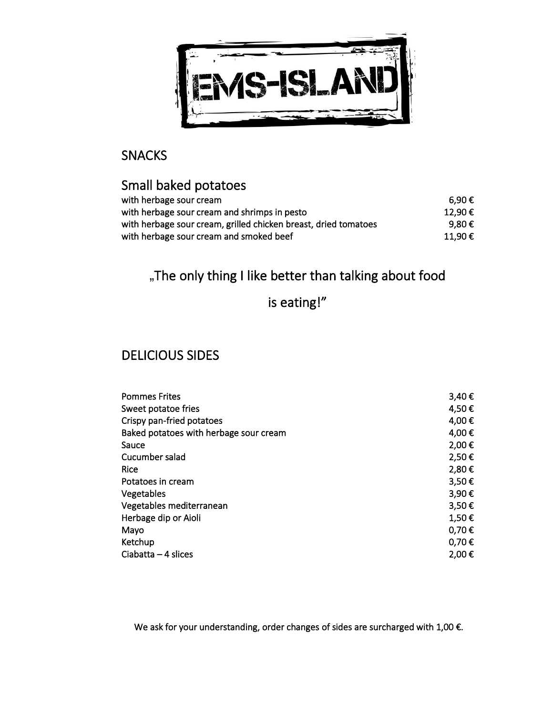

#### SNACKS

## Small baked potatoes

| with herbage sour cream                                         | 6.90 € |
|-----------------------------------------------------------------|--------|
| with herbage sour cream and shrimps in pesto                    | 12.90€ |
| with herbage sour cream, grilled chicken breast, dried tomatoes | 9.80 € |
| with herbage sour cream and smoked beef                         | 11.90€ |

## "The only thing I like better than talking about food

## is eating!"

#### DELICIOUS SIDES

| <b>Pommes Frites</b>                   | 3,40€           |
|----------------------------------------|-----------------|
| Sweet potatoe fries                    | 4,50€           |
| Crispy pan-fried potatoes              | 4,00€           |
| Baked potatoes with herbage sour cream | 4,00€           |
| Sauce                                  | 2,00€           |
| Cucumber salad                         | 2,50€           |
| Rice                                   | 2,80€           |
| Potatoes in cream                      | 3,50€           |
| Vegetables                             | 3,90€           |
| Vegetables mediterranean               | 3,50€           |
| Herbage dip or Aioli                   | 1,50€           |
| Mayo                                   | $0,70 \in$      |
| Ketchup                                | $0.70 \epsilon$ |
| Ciabatta $-4$ slices                   | 2,00€           |

We ask for your understanding, order changes of sides are surcharged with 1,00 €.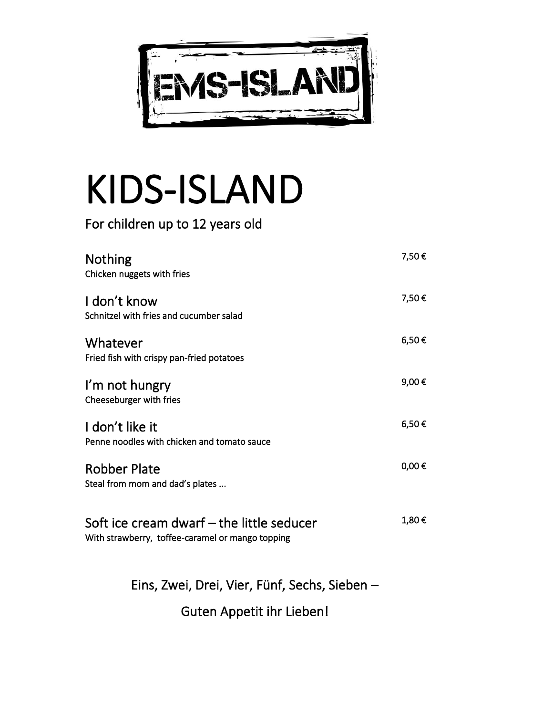

# KIDS-ISLAND

For children up to 12 years old

| <b>Nothing</b><br>Chicken nuggets with fries                                                  | 7,50€      |
|-----------------------------------------------------------------------------------------------|------------|
| I don't know<br>Schnitzel with fries and cucumber salad                                       | 7,50€      |
| Whatever<br>Fried fish with crispy pan-fried potatoes                                         | 6,50€      |
| I'm not hungry<br>Cheeseburger with fries                                                     | 9,00€      |
| I don't like it<br>Penne noodles with chicken and tomato sauce                                | 6,50€      |
| <b>Robber Plate</b><br>Steal from mom and dad's plates                                        | $0,00 \in$ |
| Soft ice cream dwarf – the little seducer<br>With strawberry, toffee-caramel or mango topping | 1,80€      |

Eins, Zwei, Drei, Vier, Fünf, Sechs, Sieben –

Guten Appetit ihr Lieben!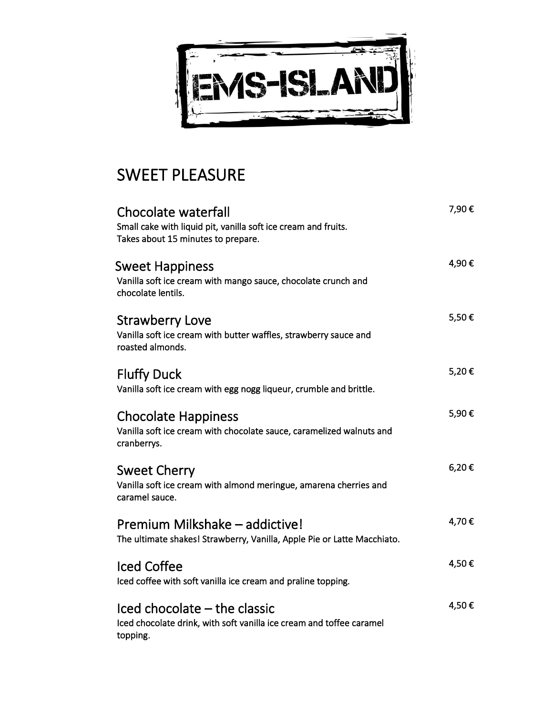

## SWEET PLEASURE

| <b>Chocolate waterfall</b><br>Small cake with liquid pit, vanilla soft ice cream and fruits.<br>Takes about 15 minutes to prepare.    | 7,90€ |
|---------------------------------------------------------------------------------------------------------------------------------------|-------|
| <b>Sweet Happiness</b><br>Vanilla soft ice cream with mango sauce, chocolate crunch and<br>chocolate lentils.                         | 4,90€ |
| <b>Strawberry Love</b><br>Vanilla soft ice cream with butter waffles, strawberry sauce and<br>roasted almonds.                        | 5,50€ |
| <b>Fluffy Duck</b><br>Vanilla soft ice cream with egg nogg liqueur, crumble and brittle.                                              | 5,20€ |
| <b>Chocolate Happiness</b><br>Vanilla soft ice cream with chocolate sauce, caramelized walnuts and<br>cranberrys.                     | 5,90€ |
| <b>Sweet Cherry</b><br>Vanilla soft ice cream with almond meringue, amarena cherries and<br>caramel sauce.                            | 6,20€ |
| Premium Milkshake - addictive!<br>The ultimate shakes! Strawberry, Vanilla, Apple Pie or Latte Macchiato.                             | 4,70€ |
| <b>Iced Coffee</b><br>Iced coffee with soft vanilla ice cream and praline topping.                                                    | 4,50€ |
| $\textsf{Iced}$ chocolate $-\textsf{the}$ classic<br>Iced chocolate drink, with soft vanilla ice cream and toffee caramel<br>topping. | 4,50€ |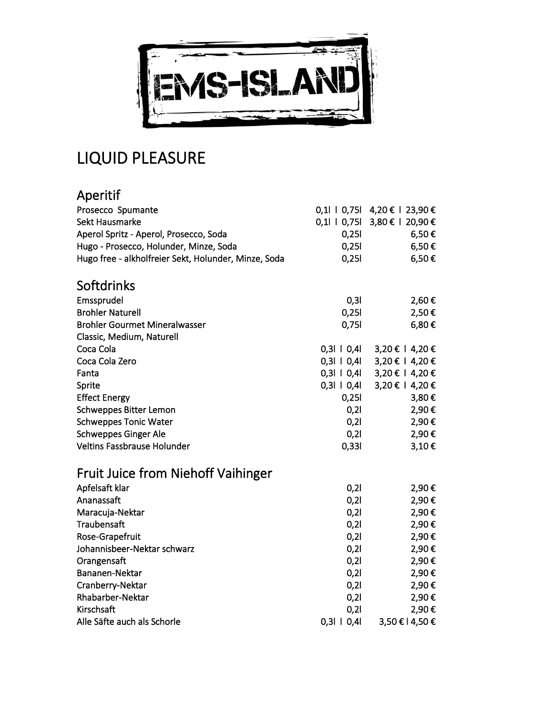

## LIQUID PLEASURE

| Aperitif                                             |                  |                               |
|------------------------------------------------------|------------------|-------------------------------|
| Prosecco Spumante                                    |                  | 0,1   0,75   4,20 €   23,90 € |
| <b>Sekt Hausmarke</b>                                |                  | 0,1    0,75  3,80 €   20,90 € |
| Aperol Spritz - Aperol, Prosecco, Soda               | 0,251            | $6,50 \in$                    |
| Hugo - Prosecco, Holunder, Minze, Soda               | 0,251            | $6,50 \in$                    |
| Hugo free - alkholfreier Sekt, Holunder, Minze, Soda | 0,251            | 6,50€                         |
| Softdrinks                                           |                  |                               |
| Emssprudel                                           | 0, 31            | 2,60€                         |
| <b>Brohler Naturell</b>                              | 0,251            | $2,50 \in$                    |
| <b>Brohler Gourmet Mineralwasser</b>                 | 0,751            | 6,80€                         |
| Classic, Medium, Naturell                            |                  |                               |
| Coca Cola                                            | $0,31 \mid 0,41$ | 3,20 € 1 4,20 €               |
| Coca Cola Zero                                       | $0,31 \mid 0,41$ | 3,20 € 1 4,20 €               |
| Fanta                                                | $0,31 \mid 0,41$ | 3,20 € 1 4,20 €               |
| Sprite                                               | $0,31 \mid 0,41$ | 3,20 € 1 4,20 €               |
| <b>Effect Energy</b>                                 | 0,251            | 3,80€                         |
| <b>Schweppes Bitter Lemon</b>                        | 0,21             | 2,90€                         |
| <b>Schweppes Tonic Water</b>                         | 0,21             | 2,90€                         |
| <b>Schweppes Ginger Ale</b>                          | 0,21             | 2,90€                         |
| Veltins Fassbrause Holunder                          | 0,331            | 3,10€                         |
| <b>Fruit Juice from Niehoff Vaihinger</b>            |                  |                               |
| Apfelsaft klar                                       | 0,21             | 2,90€                         |
| Ananassaft                                           | 0,21             | 2,90€                         |
| Maracuja-Nektar                                      | 0,21             | 2,90€                         |
| Traubensaft                                          | 0,21             | 2,90€                         |
| Rose-Grapefruit                                      | 0,21             | 2,90€                         |
| Johannisbeer-Nektar schwarz                          | 0,21             | 2,90€                         |
| Orangensaft                                          | 0,21             | 2,90€                         |
| Bananen-Nektar                                       | 0,21             | 2,90€                         |
| Cranberry-Nektar                                     | 0,21             | 2,90€                         |
| <b>Rhabarber-Nektar</b>                              | 0,21             | 2,90€                         |
| Kirschsaft                                           | 0,21             | 2,90€                         |
| Alle Säfte auch als Schorle                          | 0,3110,41        | 3,50 €   4,50 €               |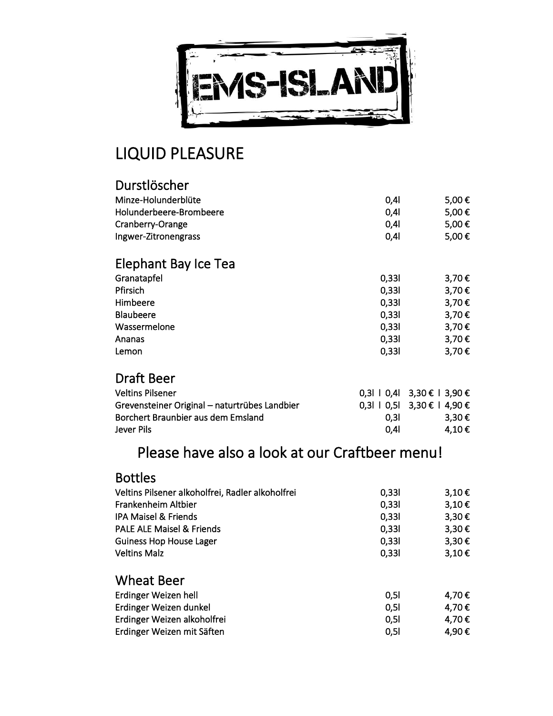

## LIQUID PLEASURE

| Durstlöscher                                  |       |                               |
|-----------------------------------------------|-------|-------------------------------|
| Minze-Holunderblüte                           | 0,41  | 5,00€                         |
| Holunderbeere-Brombeere                       | 0,41  | 5,00€                         |
| Cranberry-Orange                              | 0,41  | 5,00€                         |
| Ingwer-Zitronengrass                          | 0,4   | 5,00€                         |
| Elephant Bay Ice Tea                          |       |                               |
| Granatapfel                                   | 0,331 | 3,70€                         |
| Pfirsich                                      | 0,331 | 3,70€                         |
| Himbeere                                      | 0,331 | 3,70€                         |
| <b>Blaubeere</b>                              | 0,331 | 3,70€                         |
| Wassermelone                                  | 0,331 | 3,70€                         |
| Ananas                                        | 0,331 | 3,70€                         |
| Lemon                                         | 0,331 | 3,70€                         |
| <b>Draft Beer</b>                             |       |                               |
| <b>Veltins Pilsener</b>                       |       | $0,3$   0,4   3,30 €   3,90 € |
| Grevensteiner Original - naturtrübes Landbier |       | 0,3l 1 0,5l 3,30 € 1 4,90 €   |
| Borchert Braunbier aus dem Emsland            | 0,31  | 3,30€                         |
| Jever Pils                                    | 0,41  | 4,10€                         |

## Please have also a look at our Craftbeer menu!

| <b>Bottles</b>                                   |       |            |
|--------------------------------------------------|-------|------------|
| Veltins Pilsener alkoholfrei, Radler alkoholfrei | 0,331 | $3,10 \in$ |
| Frankenheim Altbier                              | 0,331 | 3,10€      |
| <b>IPA Maisel &amp; Friends</b>                  | 0,331 | $3,30 \in$ |
| <b>PALE ALE Maisel &amp; Friends</b>             | 0,331 | $3,30 \in$ |
| <b>Guiness Hop House Lager</b>                   | 0,331 | $3,30 \in$ |
| <b>Veltins Malz</b>                              | 0,331 | $3,10 \in$ |
| <b>Wheat Beer</b>                                |       |            |
| Erdinger Weizen hell                             | 0, 51 | 4,70€      |
| Erdinger Weizen dunkel                           | 0, 51 | 4,70€      |
| Erdinger Weizen alkoholfrei                      | 0,51  | 4,70€      |
| Erdinger Weizen mit Säften                       | 0,51  | 4,90€      |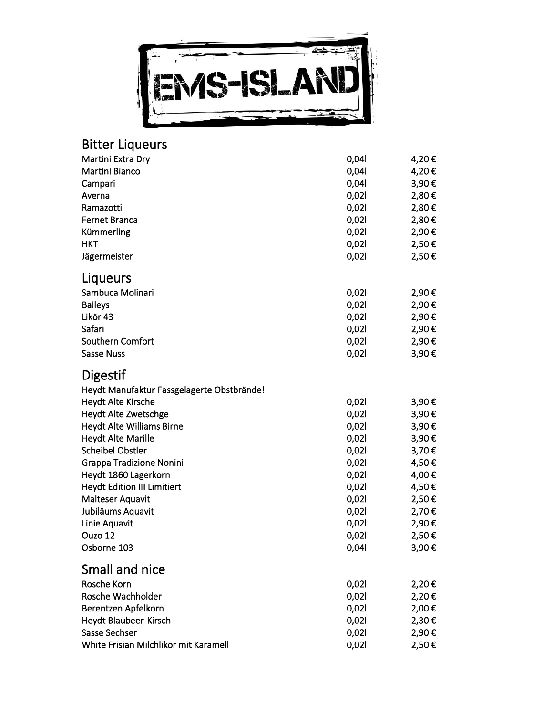

#### Bitter Liqueur s

| Martini Extra Dry                          | 0,041 | 4,20€ |
|--------------------------------------------|-------|-------|
| Martini Bianco                             | 0,041 | 4,20€ |
| Campari                                    | 0,041 | 3,90€ |
| Averna                                     | 0,021 | 2,80€ |
| Ramazotti                                  | 0,021 | 2,80€ |
| <b>Fernet Branca</b>                       | 0,021 | 2,80€ |
| Kümmerling                                 | 0,021 | 2,90€ |
| <b>HKT</b>                                 | 0,021 | 2,50€ |
| Jägermeister                               | 0,021 | 2,50€ |
| Liqueurs                                   |       |       |
| Sambuca Molinari                           | 0,021 | 2,90€ |
| <b>Baileys</b>                             | 0,021 | 2,90€ |
| Likör 43                                   | 0,021 | 2,90€ |
| Safari                                     | 0,021 | 2,90€ |
| Southern Comfort                           | 0,021 | 2,90€ |
| <b>Sasse Nuss</b>                          | 0,021 | 3,90€ |
| Digestif                                   |       |       |
| Heydt Manufaktur Fassgelagerte Obstbrände! |       |       |
| <b>Heydt Alte Kirsche</b>                  | 0,021 | 3,90€ |
| Heydt Alte Zwetschge                       | 0,021 | 3,90€ |
| Heydt Alte Williams Birne                  | 0,021 | 3,90€ |
| <b>Heydt Alte Marille</b>                  | 0,021 | 3,90€ |
| <b>Scheibel Obstler</b>                    | 0,021 | 3,70€ |
| <b>Grappa Tradizione Nonini</b>            | 0,021 | 4,50€ |
| Heydt 1860 Lagerkorn                       | 0,021 | 4,00€ |
| <b>Heydt Edition III Limitiert</b>         | 0,021 | 4,50€ |
| <b>Malteser Aquavit</b>                    | 0,021 | 2,50€ |
| Jubiläums Aquavit                          | 0,021 | 2,70€ |
| Linie Aquavit                              | 0,021 | 2,90€ |
| Ouzo 12                                    | 0,021 | 2,50€ |
| Osborne 103                                | 0,04  | 3,90€ |
| Small and nice                             |       |       |
| Rosche Korn                                | 0,021 | 2,20€ |
| Rosche Wachholder                          | 0,021 | 2,20€ |
| Berentzen Apfelkorn                        | 0,021 | 2,00€ |
| Heydt Blaubeer-Kirsch                      | 0,021 | 2,30€ |
| Sasse Sechser                              | 0,021 | 2,90€ |
| White Frisian Milchlikör mit Karamell      | 0,021 | 2,50€ |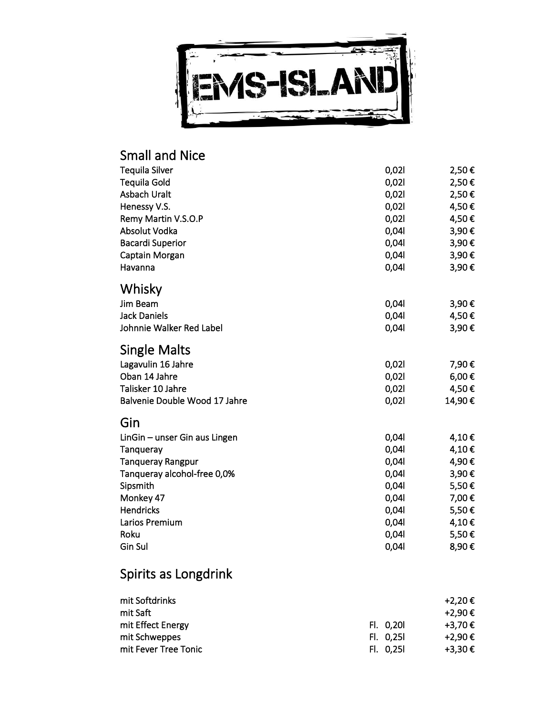

#### Small and Nice Tequila Silver 2,50 € Tequila Gold  $0,02$  2,50 € Asbach Uralt  $0,02$ l 2,50  $\epsilon$ Henessy V.S. 6. 2012 12:30 12:30 12:30 12:30 12:30 12:30 12:30 12:30 12:30 12:30 12:30 12:30 12:30 12:30 12:30 2l 4,50 € Remy Martin V.S.O.P  $0,02$  4,50  $\epsilon$ Absolut Vodka 0,04l 3,90 € Bacardi Superior 6 and 1,90 € Captain Morgan  $0,04$  3,90  $\epsilon$ Havanna  $0,04$  3,90  $\epsilon$ Whisky  $J$ im Beam  $0,04$  3,90  $\epsilon$ Jack Daniels  $0,04$  4,50  $\in$ Johnnie Walker Red Label **0,04l** 3,90 € Single Malts Lagavulin 16 Jahre 1980 - 1980 - 1980 - 1980 - 1980 - 1980 - 1980 - 1980 - 1980 - 1980 - 1980 - 1980 - 1980 - 1 7,90 € Oban 14 Jahre  $0,021$  $6,00 \in$ Talisker 10 Jahre 0,021 2l 4,50 € Balvenie Double Wood 17 Jahre  $0,02$ l 14,90 € Gin LinGin – unser Gin aus Lingen  $0,04$  and  $4,10 \in$ Tanqueray  $0,04$  4,10  $\epsilon$ Tanqueray Rangpur 1,90 € Tanqueray alcohol-free 0,0%  $0,04$  3,90  $\epsilon$ Sipsmith  $0,04$  5,50  $\epsilon$ Monkey 47  $0,04$  7,00 € Hendricks  $0,04$  5,50  $\epsilon$ Larios Premium  $0,04$  4,10  $\epsilon$ Roku  $0,04$  5,50  $\epsilon$ Gin Sul  $\qquad \qquad 0,04$  8,90  $\epsilon$ Spirits as Longdrink

| mit Softdrinks       |           | +2.20€  |
|----------------------|-----------|---------|
| mit Saft             |           | +2,90€  |
| mit Effect Energy    | Fl. 0,20  | +3,70€  |
| mit Schweppes        | FI. 0.25I | +2,90 € |
| mit Fever Tree Tonic | FI. 0.25I | +3,30€  |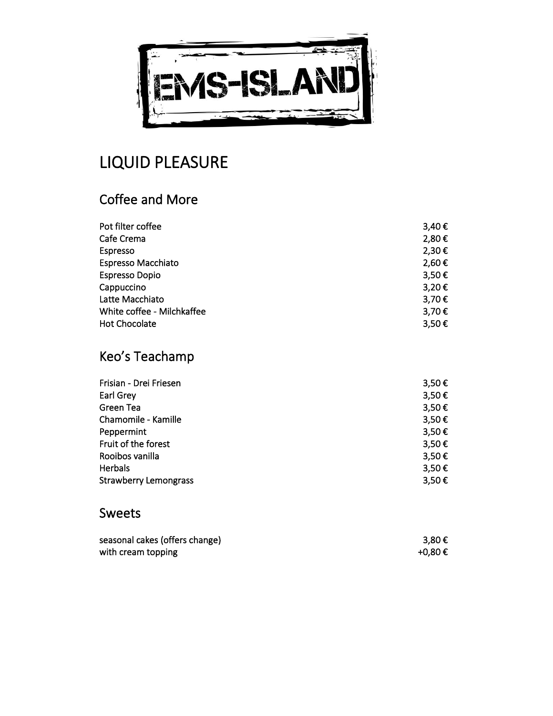

## LIQUID PLEASURE

## Coffee and More

| Pot filter coffee          | $3,40 \in$ |
|----------------------------|------------|
| Cafe Crema                 | 2,80€      |
| Espresso                   | 2,30€      |
| <b>Espresso Macchiato</b>  | 2,60€      |
| <b>Espresso Dopio</b>      | 3,50€      |
| Cappuccino                 | 3,20€      |
| Latte Macchiato            | 3,70€      |
| White coffee - Milchkaffee | 3,70€      |
| <b>Hot Chocolate</b>       | 3,50€      |

## Keo's Teachamp

| Frisian - Drei Friesen       | 3,50€      |
|------------------------------|------------|
| Earl Grey                    | 3,50€      |
| Green Tea                    | $3,50 \in$ |
| Chamomile - Kamille          | $3,50 \in$ |
| Peppermint                   | 3,50€      |
| Fruit of the forest          | 3,50€      |
| Rooibos vanilla              | 3,50€      |
| <b>Herbals</b>               | 3,50€      |
| <b>Strawberry Lemongrass</b> | 3,50€      |

## Sweets

| seasonal cakes (offers change) | 3,80€   |
|--------------------------------|---------|
| with cream topping             | +0.80 € |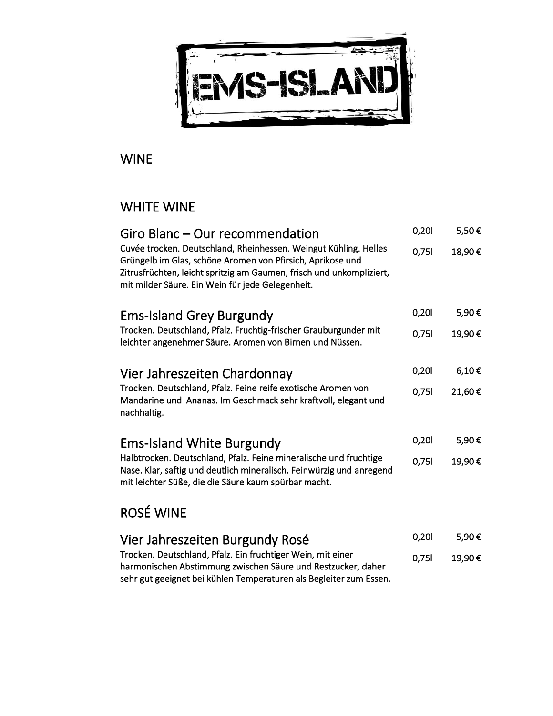

## WINE

## WHITE WINE

| Giro Blanc – Our recommendation                                                                                                                                                                                                                            | 0,201 | 5,50€      |
|------------------------------------------------------------------------------------------------------------------------------------------------------------------------------------------------------------------------------------------------------------|-------|------------|
| Cuvée trocken. Deutschland, Rheinhessen. Weingut Kühling. Helles<br>Grüngelb im Glas, schöne Aromen von Pfirsich, Aprikose und<br>Zitrusfrüchten, leicht spritzig am Gaumen, frisch und unkompliziert,<br>mit milder Säure. Ein Wein für jede Gelegenheit. | 0,751 | 18,90€     |
| <b>Ems-Island Grey Burgundy</b>                                                                                                                                                                                                                            | 0,201 | 5,90€      |
| Trocken. Deutschland, Pfalz. Fruchtig-frischer Grauburgunder mit<br>leichter angenehmer Säure. Aromen von Birnen und Nüssen.                                                                                                                               | 0,751 | 19,90€     |
| Vier Jahreszeiten Chardonnay                                                                                                                                                                                                                               | 0,201 | $6,10 \in$ |
| Trocken. Deutschland, Pfalz. Feine reife exotische Aromen von<br>Mandarine und Ananas. Im Geschmack sehr kraftvoll, elegant und<br>nachhaltig.                                                                                                             | 0,751 | 21,60€     |
| <b>Ems-Island White Burgundy</b>                                                                                                                                                                                                                           | 0,201 | 5,90€      |
| Halbtrocken. Deutschland, Pfalz. Feine mineralische und fruchtige<br>Nase. Klar, saftig und deutlich mineralisch. Feinwürzig und anregend<br>mit leichter Süße, die die Säure kaum spürbar macht.                                                          | 0,751 | 19,90€     |
| <b>ROSÉ WINE</b>                                                                                                                                                                                                                                           |       |            |

| Vier Jahreszeiten Burgundy Rosé                                                                                             | 0.20  | 5.90€  |
|-----------------------------------------------------------------------------------------------------------------------------|-------|--------|
| Trocken. Deutschland, Pfalz. Ein fruchtiger Wein, mit einer<br>harmonischen Abstimmung zwischen Säure und Restzucker, daher | 0.751 | 19.90€ |
| sehr gut geeignet bei kühlen Temperaturen als Begleiter zum Essen.                                                          |       |        |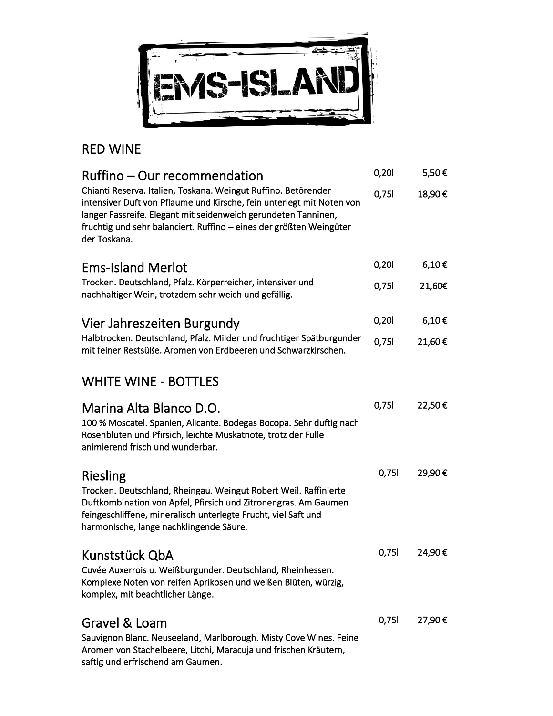

## RED WINE

| Ruffino – Our recommendation                                                                                                                                                                                                                                                                     | 0,20  | 5,50€      |
|--------------------------------------------------------------------------------------------------------------------------------------------------------------------------------------------------------------------------------------------------------------------------------------------------|-------|------------|
| Chianti Reserva. Italien, Toskana. Weingut Ruffino. Betörender<br>intensiver Duft von Pflaume und Kirsche, fein unterlegt mit Noten von<br>langer Fassreife. Elegant mit seidenweich gerundeten Tanninen,<br>fruchtig und sehr balanciert. Ruffino – eines der größten Weingüter<br>der Toskana. | 0,751 | 18,90€     |
| <b>Ems-Island Merlot</b>                                                                                                                                                                                                                                                                         | 0,20  | $6,10 \in$ |
| Trocken. Deutschland, Pfalz. Körperreicher, intensiver und<br>nachhaltiger Wein, trotzdem sehr weich und gefällig.                                                                                                                                                                               | 0,751 | 21,60€     |
| Vier Jahreszeiten Burgundy                                                                                                                                                                                                                                                                       | 0,201 | 6,10€      |
| Halbtrocken. Deutschland, Pfalz. Milder und fruchtiger Spätburgunder<br>mit feiner Restsüße. Aromen von Erdbeeren und Schwarzkirschen.                                                                                                                                                           | 0,751 | 21,60€     |
| <b>WHITE WINE - BOTTLES</b>                                                                                                                                                                                                                                                                      |       |            |
| Marina Alta Blanco D.O.<br>100 % Moscatel. Spanien, Alicante. Bodegas Bocopa. Sehr duftig nach<br>Rosenblüten und Pfirsich, leichte Muskatnote, trotz der Fülle<br>animierend frisch und wunderbar.                                                                                              | 0,751 | 22,50€     |
| Riesling<br>Trocken. Deutschland, Rheingau. Weingut Robert Weil. Raffinierte<br>Duftkombination von Apfel, Pfirsich und Zitronengras. Am Gaumen<br>feingeschliffene, mineralisch unterlegte Frucht, viel Saft und<br>harmonische, lange nachklingende Säure.                                     | 0,751 | 29,90€     |
| Kunststück QbA<br>Cuvée Auxerrois u. Weißburgunder. Deutschland, Rheinhessen.<br>Komplexe Noten von reifen Aprikosen und weißen Blüten, würzig,<br>komplex, mit beachtlicher Länge.                                                                                                              | 0,751 | 24,90€     |
| Gravel & Loam<br>Sauvignon Blanc. Neuseeland, Marlborough. Misty Cove Wines. Feine<br>Aromen von Stachelbeere, Litchi, Maracuja und frischen Kräutern,<br>saftig und erfrischend am Gaumen.                                                                                                      | 0,751 | 27,90€     |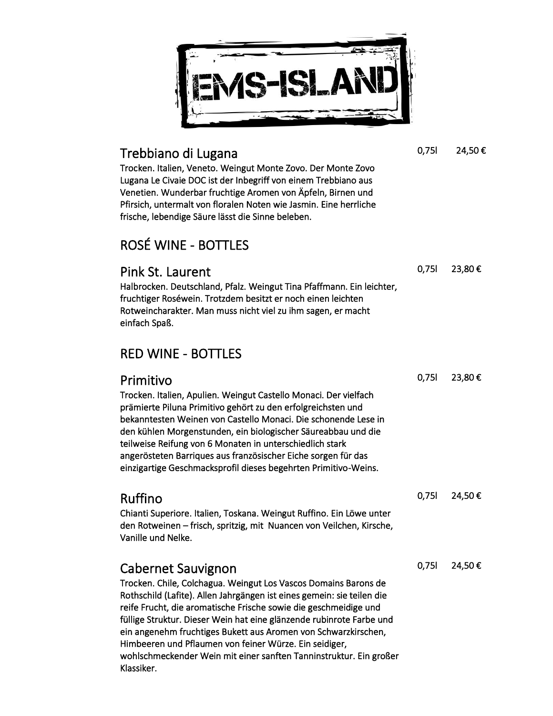

#### Trebbiano di Lugana

Trocken. Italien, Veneto. Weingut Monte Zovo. Der Monte Zovo Lugana Le Civaie DOC ist der Inbegriff von einem Trebbiano aus Venetien. Wunderbar fruchtige Aromen von Äpfeln, Birnen und Pfirsich, untermalt von floralen Noten wie Jasmin. Eine herrliche frische, lebendige Säure lässt die Sinne beleben.

## ROSÉ WINE - BOTTLES

Pink St. Laurent Halbrocken. Deutschland, Pfalz. Weingut Tina Pfaffmann. Ein leichter, fruchtiger Roséwein. Trotzdem besitzt er noch einen leichten Rotweincharakter. Man muss nicht viel zu ihm sagen, er macht einfach Spaß.

### RED WINE - BOTTLES

| Primitivo                                                                                                                                                                                                                                                                                                                                                                                        | 0,751 | 23,80€ |
|--------------------------------------------------------------------------------------------------------------------------------------------------------------------------------------------------------------------------------------------------------------------------------------------------------------------------------------------------------------------------------------------------|-------|--------|
| Trocken. Italien, Apulien. Weingut Castello Monaci. Der vielfach<br>prämierte Piluna Primitivo gehört zu den erfolgreichsten und<br>bekanntesten Weinen von Castello Monaci. Die schonende Lese in<br>den kühlen Morgenstunden, ein biologischer Säureabbau und die<br>teilweise Reifung von 6 Monaten in unterschiedlich stark<br>angerösteten Barriques aus französischer Eiche sorgen für das |       |        |
| einzigartige Geschmacksprofil dieses begehrten Primitivo-Weins.                                                                                                                                                                                                                                                                                                                                  |       |        |
|                                                                                                                                                                                                                                                                                                                                                                                                  |       |        |
| Ruffino                                                                                                                                                                                                                                                                                                                                                                                          | 0,751 | 24,50€ |
| Chianti Superiore. Italien, Toskana. Weingut Ruffino. Ein Löwe unter<br>den Rotweinen – frisch, spritzig, mit Nuancen von Veilchen, Kirsche,<br>Vanille und Nelke.                                                                                                                                                                                                                               |       |        |
| <b>Cabernet Sauvignon</b>                                                                                                                                                                                                                                                                                                                                                                        | 0,751 | 24,50€ |
| Trocken. Chile, Colchagua. Weingut Los Vascos Domains Barons de<br>Rothschild (Lafite). Allen Jahrgängen ist eines gemein: sie teilen die<br>reife Frucht, die aromatische Frische sowie die geschmeidige und                                                                                                                                                                                    |       |        |

füllige Struktur. Dieser Wein hat eine glänzende rubinrote Farbe und ein angenehm fruchtiges Bukett aus Aromen von Schwarzkirschen, Himbeeren und Pflaumen von feiner Würze. Ein seidiger,

wohlschmeckender Wein mit einer sanften Tanninstruktur. Ein großer Klassiker.

0,75l 24,50 €

0,75l 23,80 €